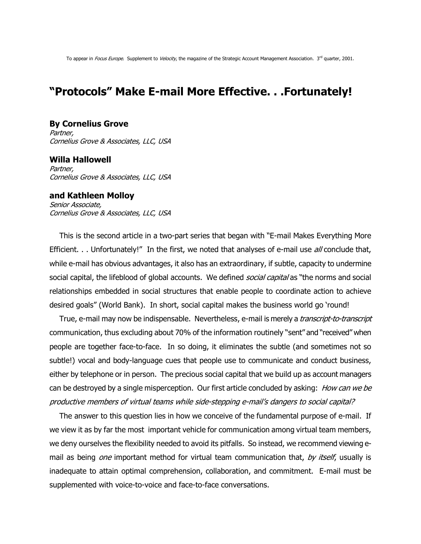# "Protocols" Make E-mail More Effective. . .Fortunately!

## By Cornelius Grove

Partner, Cornelius Grove & Associates, LLC, USA

Willa Hallowell Partner, Cornelius Grove & Associates, LLC, USA

and Kathleen Molloy

Senior Associate, Cornelius Grove & Associates, LLC, USA

This is the second article in a two-part series that began with "E-mail Makes Everything More Efficient. . . Unfortunately!" In the first, we noted that analyses of e-mail use all conclude that, while e-mail has obvious advantages, it also has an extraordinary, if subtle, capacity to undermine social capital, the lifeblood of global accounts. We defined *social capital* as "the norms and social relationships embedded in social structures that enable people to coordinate action to achieve desired goals" (World Bank). In short, social capital makes the business world go 'round!

True, e-mail may now be indispensable. Nevertheless, e-mail is merely a *transcript-to-transcript* communication, thus excluding about 70% of the information routinely "sent" and "received" when people are together face-to-face. In so doing, it eliminates the subtle (and sometimes not so subtle!) vocal and body-language cues that people use to communicate and conduct business, either by telephone or in person. The precious social capital that we build up as account managers can be destroyed by a single misperception. Our first article concluded by asking: *How can we be* productive members of virtual teams while side-stepping e-mail's dangers to social capital?

 The answer to this question lies in how we conceive of the fundamental purpose of e-mail. If we view it as by far the most important vehicle for communication among virtual team members, we deny ourselves the flexibility needed to avoid its pitfalls. So instead, we recommend viewing email as being *one* important method for virtual team communication that, by itself, usually is inadequate to attain optimal comprehension, collaboration, and commitment. E-mail must be supplemented with voice-to-voice and face-to-face conversations.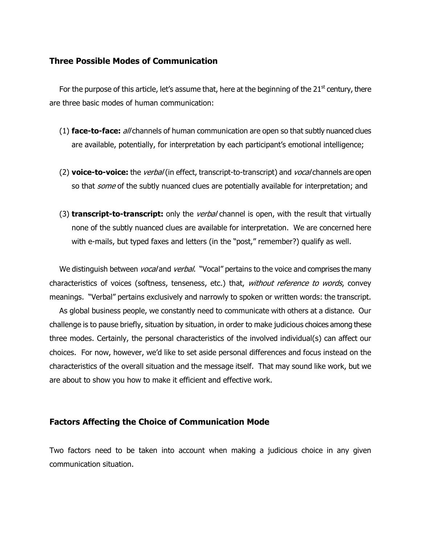## Three Possible Modes of Communication

For the purpose of this article, let's assume that, here at the beginning of the  $21^{st}$  century, there are three basic modes of human communication:

- (1) **face-to-face:**  $a$ // channels of human communication are open so that subtly nuanced clues are available, potentially, for interpretation by each participant's emotional intelligence;
- (2) voice-to-voice: the *verbal* (in effect, transcript-to-transcript) and *vocal* channels are open so that *some* of the subtly nuanced clues are potentially available for interpretation; and
- (3) **transcript-to-transcript:** only the *verbal* channel is open, with the result that virtually none of the subtly nuanced clues are available for interpretation. We are concerned here with e-mails, but typed faxes and letters (in the "post," remember?) qualify as well.

We distinguish between *vocal* and *verbal*. "Vocal" pertains to the voice and comprises the many characteristics of voices (softness, tenseness, etc.) that, without reference to words, convey meanings. "Verbal" pertains exclusively and narrowly to spoken or written words: the transcript.

 As global business people, we constantly need to communicate with others at a distance. Our challenge is to pause briefly, situation by situation, in order to make judicious choices among these three modes. Certainly, the personal characteristics of the involved individual(s) can affect our choices. For now, however, we'd like to set aside personal differences and focus instead on the characteristics of the overall situation and the message itself. That may sound like work, but we are about to show you how to make it efficient and effective work.

### Factors Affecting the Choice of Communication Mode

Two factors need to be taken into account when making a judicious choice in any given communication situation.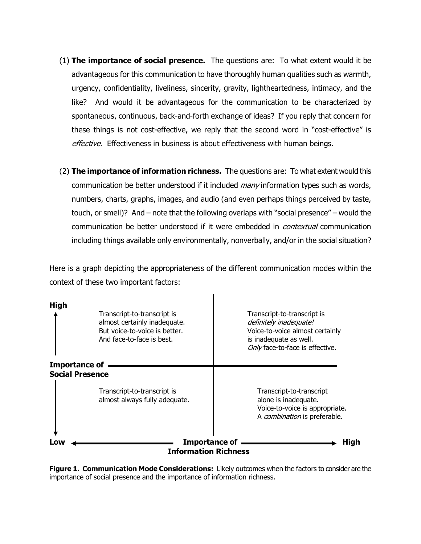- $(1)$  The importance of social presence. The questions are: To what extent would it be advantageous for this communication to have thoroughly human qualities such as warmth, urgency, confidentiality, liveliness, sincerity, gravity, lightheartedness, intimacy, and the like? And would it be advantageous for the communication to be characterized by spontaneous, continuous, back-and-forth exchange of ideas? If you reply that concern for these things is not cost-effective, we reply that the second word in "cost-effective" is effective. Effectiveness in business is about effectiveness with human beings.
- (2) The importance of information richness. The questions are: To what extent would this communication be better understood if it included *many* information types such as words, numbers, charts, graphs, images, and audio (and even perhaps things perceived by taste, touch, or smell)? And – note that the following overlaps with "social presence" – would the communication be better understood if it were embedded in *contextual* communication including things available only environmentally, nonverbally, and/or in the social situation?

Here is a graph depicting the appropriateness of the different communication modes within the context of these two important factors:



Figure 1. Communication Mode Considerations: Likely outcomes when the factors to consider are the importance of social presence and the importance of information richness.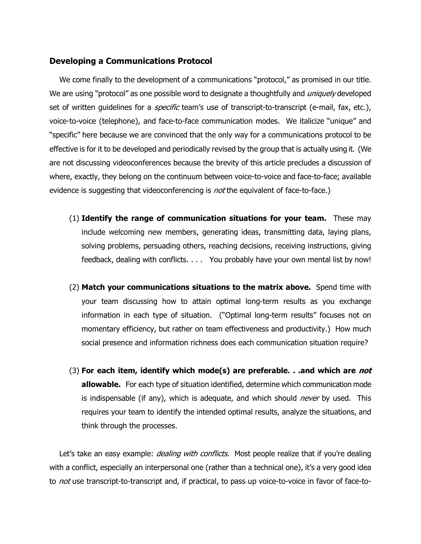### Developing a Communications Protocol

We come finally to the development of a communications "protocol," as promised in our title. We are using "protocol" as one possible word to designate a thoughtfully and *uniquely* developed set of written guidelines for a *specific* team's use of transcript-to-transcript (e-mail, fax, etc.), voice-to-voice (telephone), and face-to-face communication modes. We italicize "unique" and "specific" here because we are convinced that the only way for a communications protocol to be effective is for it to be developed and periodically revised by the group that is actually using it. (We are not discussing videoconferences because the brevity of this article precludes a discussion of where, exactly, they belong on the continuum between voice-to-voice and face-to-face; available evidence is suggesting that videoconferencing is *not* the equivalent of face-to-face.)

- (1) Identify the range of communication situations for your team. These may include welcoming new members, generating ideas, transmitting data, laying plans, solving problems, persuading others, reaching decisions, receiving instructions, giving feedback, dealing with conflicts. . . . You probably have your own mental list by now!
- (2) Match your communications situations to the matrix above. Spend time with your team discussing how to attain optimal long-term results as you exchange information in each type of situation. ("Optimal long-term results" focuses not on momentary efficiency, but rather on team effectiveness and productivity.) How much social presence and information richness does each communication situation require?
- (3) For each item, identify which mode(s) are preferable. . .and which are *not* **allowable.** For each type of situation identified, determine which communication mode is indispensable (if any), which is adequate, and which should *never* by used. This requires your team to identify the intended optimal results, analyze the situations, and think through the processes.

Let's take an easy example: *dealing with conflicts*. Most people realize that if you're dealing with a conflict, especially an interpersonal one (rather than a technical one), it's a very good idea to *not* use transcript-to-transcript and, if practical, to pass up voice-to-voice in favor of face-to